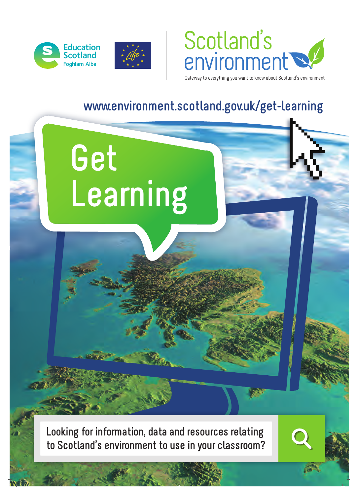

**Get**

**Learning**



Gateway to everything you want to know about Scotland's environment

## **www.environment.scotland.gov.uk/get-learning**

**Looking for information, data and resources relating to Scotland's environment to use in your classroom?**